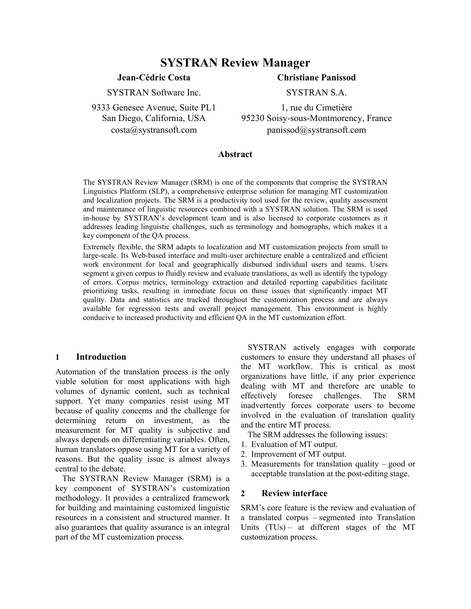# **SYSTRAN Review Manager**

## **Jean-Cédric Costa**

## **Christiane Panissod**

SYSTRAN Software Inc.

9333 Genesee Avenue, Suite PL1 San Diego, California, USA costa@systransoft.com

SYSTRAN S.A.

1, rue du Cimetière 95230 Soisy-sous-Montmorency, France panissod@systransoft.com

### **Abstract**

The SYSTRAN Review Manager (SRM) is one of the components that comprise the SYSTRAN Linguistics Platform (SLP), a comprehensive enterprise solution for managing MT customization and localization projects. The SRM is a productivity tool used for the review, quality assessment and maintenance of linguistic resources combined with a SYSTRAN solution. The SRM is used in-house by SYSTRAN's development team and is also licensed to corporate customers as it addresses leading linguistic challenges, such as terminology and homographs, which makes it a key component of the QA process.

Extremely flexible, the SRM adapts to localization and MT customization projects from small to large-scale. Its Web-based interface and multi-user architecture enable a centralized and efficient work environment for local and geographically disbursed individual users and teams. Users segment a given corpus to fluidly review and evaluate translations, as well as identify the typology of errors. Corpus metrics, terminology extraction and detailed reporting capabilities facilitate prioritizing tasks, resulting in immediate focus on those issues that significantly impact MT quality. Data and statistics are tracked throughout the customization process and are always available for regression tests and overall project management. This environment is highly conducive to increased productivity and efficient QA in the MT customization effort.

#### **1 Introduction**

Automation of the translation process is the only viable solution for most applications with high volumes of dynamic content, such as technical support. Yet many companies resist using MT because of quality concerns and the challenge for determining return on investment, as the measurement for MT quality is subjective and always depends on differentiating variables. Often, human translators oppose using MT for a variety of reasons. But the quality issue is almost always central to the debate.

 The SYSTRAN Review Manager (SRM) is a key component of SYSTRAN's customization methodology. It provides a centralized framework for building and maintaining customized linguistic resources in a consistent and structured manner. It also guarantees that quality assurance is an integral part of the MT customization process.

 SYSTRAN actively engages with corporate customers to ensure they understand all phases of the MT workflow. This is critical as most organizations have little, if any prior experience dealing with MT and therefore are unable to effectively foresee challenges. The SRM inadvertently forces corporate users to become involved in the evaluation of translation quality and the entire MT process.

The SRM addresses the following issues:

- 1. Evaluation of MT output.
- 2. Improvement of MT output.
- 3. Measurements for translation quality good or acceptable translation at the post-editing stage.

#### **2 Review interface**

SRM's core feature is the review and evaluation of a translated corpus – segmented into Translation Units (TUs) – at different stages of the MT customization process.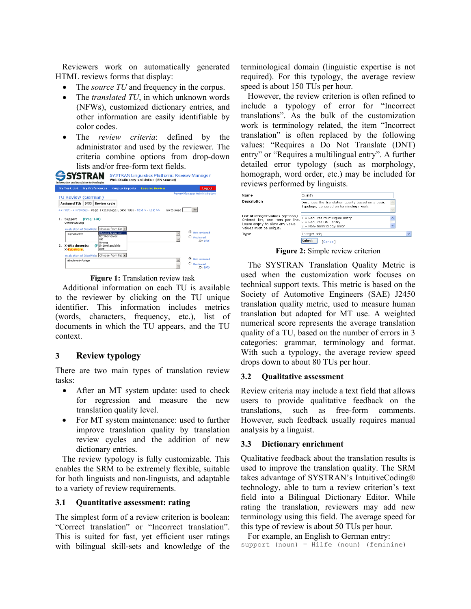Reviewers work on automatically generated HTML reviews forms that display:

- The *source TU* and frequency in the corpus.
- The *translated TU*, in which unknown words (NFWs), customized dictionary entries, and other information are easily identifiable by color codes.
- The *review criteria*: defined by the administrator and used by the reviewer. The criteria combine options from drop-down lists and/or free-form text fields.



**Figure 1:** Translation review task

Additional information on each TU is available to the reviewer by clicking on the TU unique identifier. This information includes metrics (words, characters, frequency, etc.), list of documents in which the TU appears, and the TU context.

## **3 Review typology**

There are two main types of translation review tasks:

- After an MT system update: used to check for regression and measure the new translation quality level.
- For MT system maintenance: used to further improve translation quality by translation review cycles and the addition of new dictionary entries.

The review typology is fully customizable. This enables the SRM to be extremely flexible, suitable for both linguists and non-linguists, and adaptable to a variety of review requirements.

## **3.1 Quantitative assessment: rating**

The simplest form of a review criterion is boolean: "Correct translation" or "Incorrect translation". This is suited for fast, yet efficient user ratings with bilingual skill-sets and knowledge of the

terminological domain (linguistic expertise is not required). For this typology, the average review speed is about 150 TUs per hour.

However, the review criterion is often refined to include a typology of error for "Incorrect translations". As the bulk of the customization work is terminology related, the item "Incorrect translation" is often replaced by the following values: "Requires a Do Not Translate (DNT) entry" or "Requires a multilingual entry". A further detailed error typology (such as morphology, homograph, word order, etc.) may be included for reviews performed by linguists.



**Figure 2:** Simple review criterion

The SYSTRAN Translation Quality Metric is used when the customization work focuses on technical support texts. This metric is based on the Society of Automotive Engineers (SAE) J2450 translation quality metric, used to measure human translation but adapted for MT use. A weighted numerical score represents the average translation quality of a TU, based on the number of errors in 3 categories: grammar, terminology and format. With such a typology, the average review speed drops down to about 80 TUs per hour.

## **3.2 Qualitative assessment**

Review criteria may include a text field that allows users to provide qualitative feedback on the translations, such as free-form comments. However, such feedback usually requires manual analysis by a linguist.

## **3.3 Dictionary enrichment**

Qualitative feedback about the translation results is used to improve the translation quality. The SRM takes advantage of SYSTRAN's IntuitiveCoding® technology, able to turn a review criterion's text field into a Bilingual Dictionary Editor. While rating the translation, reviewers may add new terminology using this field. The average speed for this type of review is about 50 TUs per hour.

For example, an English to German entry: support (noun) = Hilfe (noun) (feminine)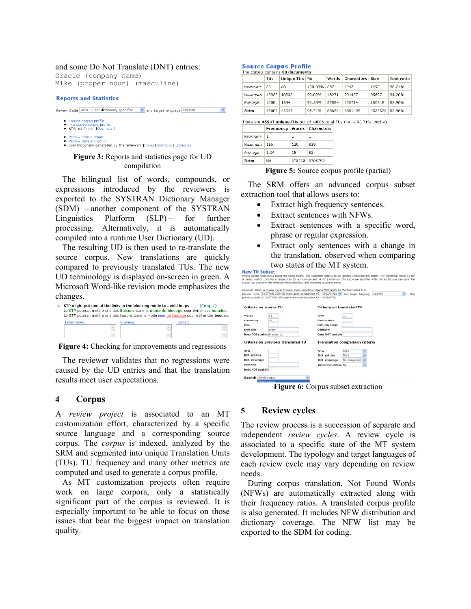#### and some Do Not Translate (DNT) entries:

Oracle (company name) Mike (proper noun) (masculine)

#### **Reports and Statistics**

| Review Cycle Wire - User dictionary specified | and target language German |  |  |
|-----------------------------------------------|----------------------------|--|--|
|                                               |                            |  |  |

- C Source corpus profile ● Translated corpus profile<br>● NFW list [View] [Download]
- 
- · Review status report
- Review data extraction<br>• User Dictionary generated by the reviewers [View] [Download] [Compile]

### **Figure 3:** Reports and statistics page for UD compilation

The bilingual list of words, compounds, or expressions introduced by the reviewers is exported to the SYSTRAN Dictionary Manager (SDM) – another component of the SYSTRAN Linguistics Platform  $(SLP)$  – for further processing. Alternatively, it is automatically compiled into a runtime User Dictionary (UD).

The resulting UD is then used to re-translate the source corpus. New translations are quickly compared to previously translated TUs. The new UD terminology is displayed on-screen in green. A Microsoft Word-like revision mode emphasizes the changes.

| 4. STP might put one of the links in the blocking mode to avoid loops .<br>Le STP pourrait mettre une des liaisons dans le mode de blocage pour éviter des boucles.<br>Le STP pourrait mettre une des liaisons dans le mode bloc de blocage pour éviter des boucles. |          |        |         | (Frea: 1) |
|----------------------------------------------------------------------------------------------------------------------------------------------------------------------------------------------------------------------------------------------------------------------|----------|--------|---------|-----------|
| Terminology:                                                                                                                                                                                                                                                         | Grammar: |        | Format: |           |
|                                                                                                                                                                                                                                                                      |          |        |         |           |
| $\ddot{\phantom{1}}$                                                                                                                                                                                                                                                 |          | $\sim$ |         |           |

**Figure 4:** Checking for improvements and regressions

The reviewer validates that no regressions were caused by the UD entries and that the translation results meet user expectations.

### **4 Corpus**

A *review project* is associated to an MT customization effort, characterized by a specific source language and a corresponding source corpus. The *corpus* is indexed, analyzed by the SRM and segmented into unique Translation Units (TUs). TU frequency and many other metrics are computed and used to generate a corpus profile.

As MT customization projects often require work on large corpora, only a statistically significant part of the corpus is reviewed. It is especially important to be able to focus on those issues that bear the biggest impact on translation quality.

#### **Source Corpus Profile**

|         | TUs   | Unique TUs | $\mathbf{O}/\mathbf{O}$ | Words  | <b>Characters</b> Size |         | <b>Text ratio</b> |
|---------|-------|------------|-------------------------|--------|------------------------|---------|-------------------|
| Minimum | 20    | 20         | 100.00%                 | 237    | 1243                   | 1292    | 96.21%            |
| Maximum | 10935 | 10835      | 99.09%                  | 162711 | 901437                 | 956971  | 94.2096           |
| Average | 1600  | 1544       | 96.50%                  | 22884  | 126714                 | 150918  | 83.96%            |
| Total   | 48006 | 45947      | 95.71%                  | 686524 | 3801425                | 4527538 | 83.96%            |

| here are 45947 unique TUs out of 48006 total TUs (i.e. a 95.71% unicity) |  |  |  |
|--------------------------------------------------------------------------|--|--|--|

|         |      |     | Frequency   Words   Characters |
|---------|------|-----|--------------------------------|
| Minimum | 1    | 1   | 1                              |
| Maximum | 155  | 120 | 839                            |
| Average | 1.04 | 15  | 82                             |
| Total   | NA   |     | 678218 3765799                 |

**Figure 5:** Source corpus profile (partial)

The SRM offers an advanced corpus subset extraction tool that allows users to:

- Extract high frequency sentences.
- Extract sentences with NFWs.
- Extract sentences with a specific word, phrase or regular expression.
- Extract only sentences with a change in the translation, observed when comparing two states of the MT system.

|                                                                                                                                                                               | Optional: select a review cycle to have some selection criteria that apply to the translated TUs. |               |                 |
|-------------------------------------------------------------------------------------------------------------------------------------------------------------------------------|---------------------------------------------------------------------------------------------------|---------------|-----------------|
| Review cycle SYSTRAN CSD+UD translation comparison #2 - 2003/07/21 v and target language Spanish<br>previous cycle is: SYSTRAN CSD only translation baseline #2 - 2003/07/21. |                                                                                                   |               | $\sim$<br>. The |
| Criteria on source TU                                                                                                                                                         | Criteria on translated TU                                                                         |               |                 |
| Words<br>> 5                                                                                                                                                                  | <b>NFW</b>                                                                                        | >1            |                 |
| >2<br>Frequency                                                                                                                                                               | <b>Dict.</b> entries                                                                              |               |                 |
| Size                                                                                                                                                                          | Dict. coverage                                                                                    |               |                 |
| Contains<br>order                                                                                                                                                             | Contains                                                                                          |               |                 |
| Does NOT contain in order to                                                                                                                                                  | Does NOT contain                                                                                  |               |                 |
| Criteria on previous translated TU                                                                                                                                            | Translation comparison criteria                                                                   |               |                 |
|                                                                                                                                                                               |                                                                                                   | Less          |                 |
|                                                                                                                                                                               | <b>NFW</b>                                                                                        |               |                 |
|                                                                                                                                                                               | Dict. entries                                                                                     | More          |                 |
| <b>NFW</b><br>Dict, entries<br>Dict, coverage                                                                                                                                 | Dict. coverage                                                                                    | No comparison |                 |

**Figure 6:** Corpus subset extraction

## **5 Review cycles**

The review process is a succession of separate and independent *review cycles*. A review cycle is associated to a specific state of the MT system development. The typology and target languages of each review cycle may vary depending on review needs.

During corpus translation, Not Found Words (NFWs) are automatically extracted along with their frequency ratios. A translated corpus profile is also generated. It includes NFW distribution and dictionary coverage. The NFW list may be exported to the SDM for coding.